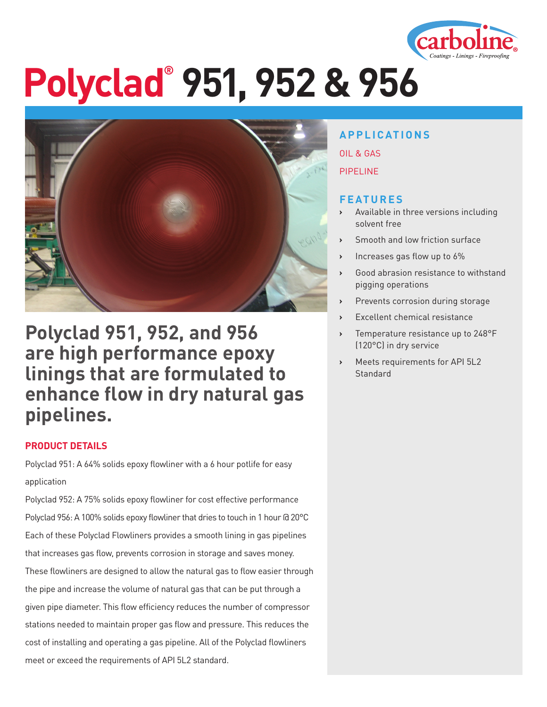

# **Polyclad® 951, 952 & 956**



### **Polyclad 951, 952, and 956 are high performance epoxy linings that are formulated to enhance flow in dry natural gas pipelines.**

#### **PRODUCT DETAILS**

Polyclad 951: A 64% solids epoxy flowliner with a 6 hour potlife for easy application

Polyclad 952: A 75% solids epoxy flowliner for cost effective performance Polyclad 956: A 100% solids epoxy flowliner that dries to touch in 1 hour @ 20°C Each of these Polyclad Flowliners provides a smooth lining in gas pipelines that increases gas flow, prevents corrosion in storage and saves money. These flowliners are designed to allow the natural gas to flow easier through the pipe and increase the volume of natural gas that can be put through a given pipe diameter. This flow efficiency reduces the number of compressor stations needed to maintain proper gas flow and pressure. This reduces the cost of installing and operating a gas pipeline. All of the Polyclad flowliners meet or exceed the requirements of API 5L2 standard.

#### **APPLICATIONS**

OIL & GAS

PIPELINE

#### **FEATURES**

- **›** Available in three versions including solvent free
- **›** Smooth and low friction surface
- **›** Increases gas flow up to 6%
- **›** Good abrasion resistance to withstand pigging operations
- **›** Prevents corrosion during storage
- **›** Excellent chemical resistance
- **›** Temperature resistance up to 248°F (120°C) in dry service
- **›** Meets requirements for API 5L2 **Standard**